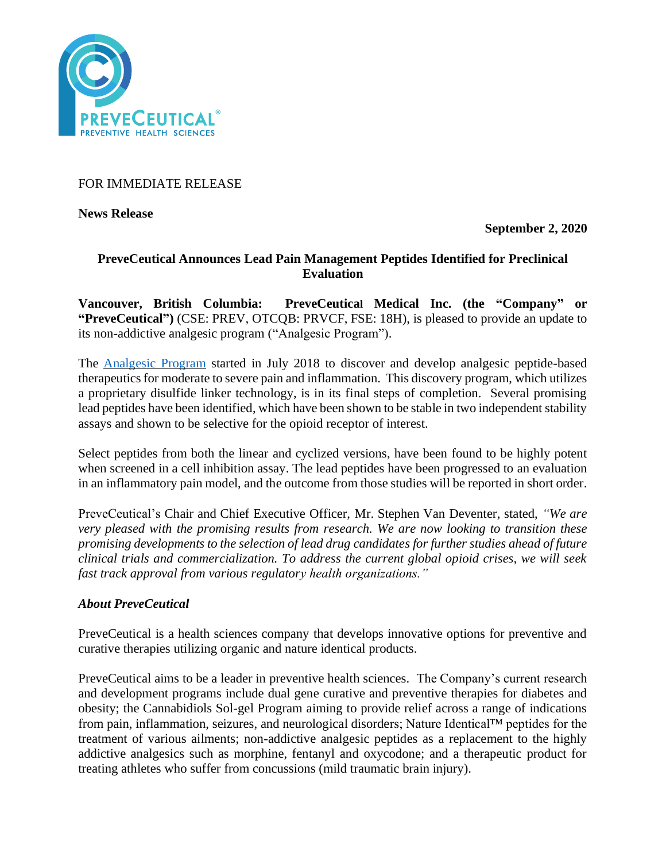

FOR IMMEDIATE RELEASE

**News Release** 

**September 2, 2020**

# **PreveCeutical Announces Lead Pain Management Peptides Identified for Preclinical Evaluation**

**Vancouver, British Columbia: PreveCeutical Medical Inc. (the "Company" or "PreveCeutical")** (CSE: PREV, OTCQB: PRVCF, FSE: 18H), is pleased to provide an update to its non-addictive analgesic program ("Analgesic Program").

The [Analgesic Program](https://www.preveceutical.com/pipeline/non-addictive-analgesic/) started in July 2018 to discover and develop analgesic peptide-based therapeutics for moderate to severe pain and inflammation. This discovery program, which utilizes a proprietary disulfide linker technology, is in its final steps of completion. Several promising lead peptides have been identified, which have been shown to be stable in two independent stability assays and shown to be selective for the opioid receptor of interest.

Select peptides from both the linear and cyclized versions, have been found to be highly potent when screened in a cell inhibition assay. The lead peptides have been progressed to an evaluation in an inflammatory pain model, and the outcome from those studies will be reported in short order.

PreveCeutical's Chair and Chief Executive Officer, Mr. Stephen Van Deventer, stated, *"We are very pleased with the promising results from research. We are now looking to transition these promising developments to the selection of lead drug candidates for further studies ahead of future clinical trials and commercialization. To address the current global opioid crises, we will seek fast track approval from various regulatory health organizations."*

## *About PreveCeutical*

PreveCeutical is a health sciences company that develops innovative options for preventive and curative therapies utilizing organic and nature identical products.

PreveCeutical aims to be a leader in preventive health sciences. The Company's current research and development programs include dual gene curative and preventive therapies for diabetes and obesity; the Cannabidiols Sol-gel Program aiming to provide relief across a range of indications from pain, inflammation, seizures, and neurological disorders; Nature Identical™ peptides for the treatment of various ailments; non-addictive analgesic peptides as a replacement to the highly addictive analgesics such as morphine, fentanyl and oxycodone; and a therapeutic product for treating athletes who suffer from concussions (mild traumatic brain injury).